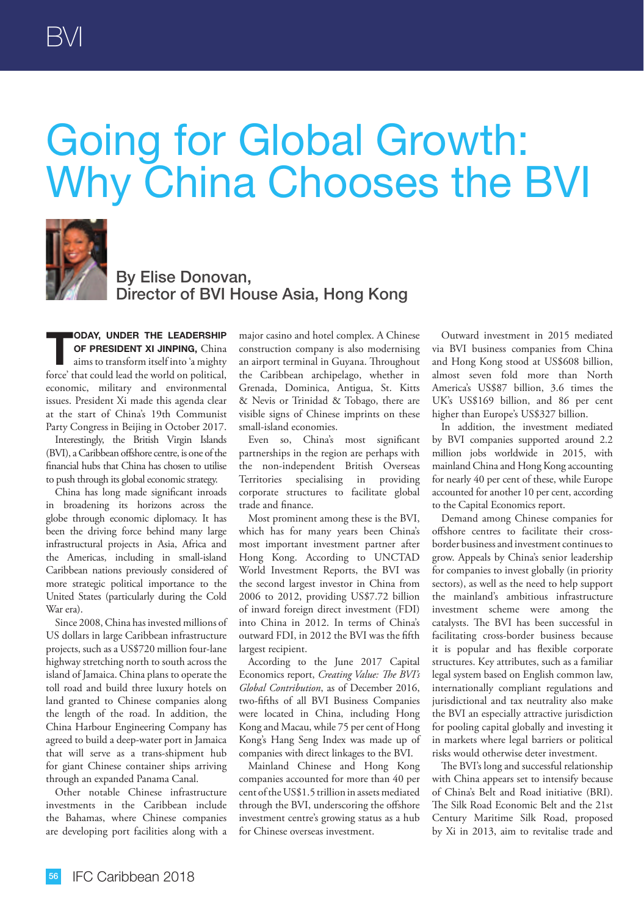## Going for Global Growth: Why China Chooses the BVI



By Elise Donovan, Director of BVI House Asia, Hong Kong

**TODAY, UNDER THE LEADERSHIP OF PRESIDENT XI JINPING, China<br>
aims to transform itself into 'a mighty OF PRESIDENT XI JINPING,** China force' that could lead the world on political, economic, military and environmental issues. President Xi made this agenda clear at the start of China's 19th Communist Party Congress in Beijing in October 2017.

Interestingly, the British Virgin Islands (BVI), a Caribbean offshore centre, is one of the financial hubs that China has chosen to utilise to push through its global economic strategy.

China has long made significant inroads in broadening its horizons across the globe through economic diplomacy. It has been the driving force behind many large infrastructural projects in Asia, Africa and the Americas, including in small-island Caribbean nations previously considered of more strategic political importance to the United States (particularly during the Cold War era).

Since 2008, China has invested millions of US dollars in large Caribbean infrastructure projects, such as a US\$720 million four-lane highway stretching north to south across the island of Jamaica. China plans to operate the toll road and build three luxury hotels on land granted to Chinese companies along the length of the road. In addition, the China Harbour Engineering Company has agreed to build a deep-water port in Jamaica that will serve as a trans-shipment hub for giant Chinese container ships arriving through an expanded Panama Canal.

Other notable Chinese infrastructure investments in the Caribbean include the Bahamas, where Chinese companies are developing port facilities along with a

major casino and hotel complex. A Chinese construction company is also modernising an airport terminal in Guyana. Throughout the Caribbean archipelago, whether in Grenada, Dominica, Antigua, St. Kitts & Nevis or Trinidad & Tobago, there are visible signs of Chinese imprints on these small-island economies.

Even so, China's most significant partnerships in the region are perhaps with the non-independent British Overseas Territories specialising in providing corporate structures to facilitate global trade and finance.

Most prominent among these is the BVI, which has for many years been China's most important investment partner after Hong Kong. According to UNCTAD World Investment Reports, the BVI was the second largest investor in China from 2006 to 2012, providing US\$7.72 billion of inward foreign direct investment (FDI) into China in 2012. In terms of China's outward FDI, in 2012 the BVI was the fifth largest recipient.

According to the June 2017 Capital Economics report, *Creating Value: The BVI's Global Contribution*, as of December 2016, two-fifths of all BVI Business Companies were located in China, including Hong Kong and Macau, while 75 per cent of Hong Kong's Hang Seng Index was made up of companies with direct linkages to the BVI.

Mainland Chinese and Hong Kong companies accounted for more than 40 per cent of the US\$1.5 trillion in assets mediated through the BVI, underscoring the offshore investment centre's growing status as a hub for Chinese overseas investment.

Outward investment in 2015 mediated via BVI business companies from China and Hong Kong stood at US\$608 billion, almost seven fold more than North America's US\$87 billion, 3.6 times the UK's US\$169 billion, and 86 per cent higher than Europe's US\$327 billion.

In addition, the investment mediated by BVI companies supported around 2.2 million jobs worldwide in 2015, with mainland China and Hong Kong accounting for nearly 40 per cent of these, while Europe accounted for another 10 per cent, according to the Capital Economics report.

Demand among Chinese companies for offshore centres to facilitate their crossborder business and investment continues to grow. Appeals by China's senior leadership for companies to invest globally (in priority sectors), as well as the need to help support the mainland's ambitious infrastructure investment scheme were among the catalysts. The BVI has been successful in facilitating cross-border business because it is popular and has flexible corporate structures. Key attributes, such as a familiar legal system based on English common law, internationally compliant regulations and jurisdictional and tax neutrality also make the BVI an especially attractive jurisdiction for pooling capital globally and investing it in markets where legal barriers or political risks would otherwise deter investment.

The BVI's long and successful relationship with China appears set to intensify because of China's Belt and Road initiative (BRI). The Silk Road Economic Belt and the 21st Century Maritime Silk Road, proposed by Xi in 2013, aim to revitalise trade and